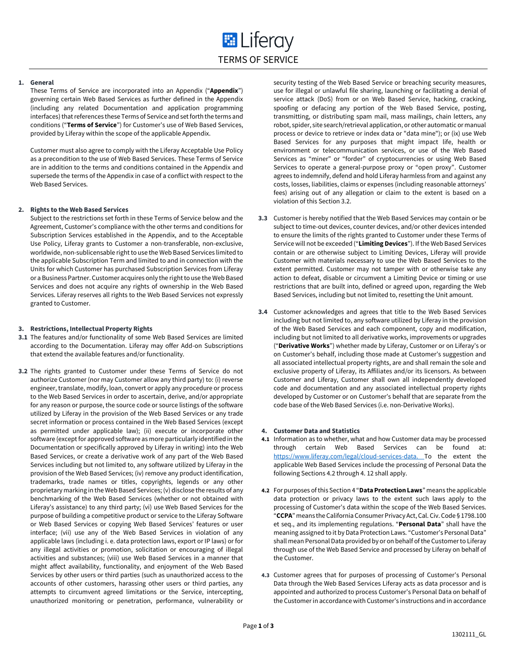# **1. General**

These Terms of Service are incorporated into an Appendix ("**Appendix**") governing certain Web Based Services as further defined in the Appendix (including any related Documentation and application programming interfaces) that references these Terms of Service and set forth the terms and conditions ("**Terms of Service**") for Customer's use of Web Based Services, provided by Liferay within the scope of the applicable Appendix.

Customer must also agree to comply with the Liferay Acceptable Use Policy as a precondition to the use of Web Based Services. These Terms of Service are in addition to the terms and conditions contained in the Appendix and supersede the terms of the Appendix in case of a conflict with respect to the Web Based Services.

### **2. Rights to the Web Based Services**

Subject to the restrictions set forth in these Terms of Service below and the Agreement, Customer's compliance with the other terms and conditions for Subscription Services established in the Appendix, and to the Acceptable Use Policy, Liferay grants to Customer a non-transferable, non-exclusive, worldwide, non-sublicensable right to use the Web Based Services limited to the applicable Subscription Term and limited to and in connection with the Units for which Customer has purchased Subscription Services from Liferay or a Business Partner. Customer acquires only the right to use the Web Based Services and does not acquire any rights of ownership in the Web Based Services. Liferay reserves all rights to the Web Based Services not expressly granted to Customer.

### **3. Restrictions, Intellectual Property Rights**

- **3.1** The features and/or functionality of some Web Based Services are limited according to the Documentation. Liferay may offer Add-on Subscriptions that extend the available features and/or functionality.
- **3.2** The rights granted to Customer under these Terms of Service do not authorize Customer (nor may Customer allow any third party) to: (i) reverse engineer, translate, modify, loan, convert or apply any procedure or process to the Web Based Services in order to ascertain, derive, and/or appropriate for any reason or purpose, the source code or source listings of the software utilized by Liferay in the provision of the Web Based Services or any trade secret information or process contained in the Web Based Services (except as permitted under applicable law); (ii) execute or incorporate other software (except for approved software as more particularly identified in the Documentation or specifically approved by Liferay in writing) into the Web Based Services, or create a derivative work of any part of the Web Based Services including but not limited to, any software utilized by Liferay in the provision of the Web Based Services; (iv) remove any product identification, trademarks, trade names or titles, copyrights, legends or any other proprietary marking in the Web Based Services; (v) disclose the results of any benchmarking of the Web Based Services (whether or not obtained with Liferay's assistance) to any third party; (vi) use Web Based Services for the purpose of building a competitive product or service to the Liferay Software or Web Based Services or copying Web Based Services' features or user interface; (vii) use any of the Web Based Services in violation of any applicable laws (including i. e. data protection laws, export or IP laws) or for any illegal activities or promotion, solicitation or encouraging of illegal activities and substances; (viii) use Web Based Services in a manner that might affect availability, functionality, and enjoyment of the Web Based Services by other users or third parties (such as unauthorized access to the accounts of other customers, harassing other users or third parties, any attempts to circumvent agreed limitations or the Service, intercepting, unauthorized monitoring or penetration, performance, vulnerability or

security testing of the Web Based Service or breaching security measures, use for illegal or unlawful file sharing, launching or facilitating a denial of service attack (DoS) from or on Web Based Service, hacking, cracking, spoofing or defacing any portion of the Web Based Service, posting, transmitting, or distributing spam mail, mass mailings, chain letters, any robot, spider, site search/retrieval application, or other automatic or manual process or device to retrieve or index data or "data mine"); or (ix) use Web Based Services for any purposes that might impact life, health or environment or telecommunication services, or use of the Web Based Services as "miner" or "forder" of cryptocurrencies or using Web Based Services to operate a general-purpose proxy or "open proxy". Customer agrees to indemnify, defend and hold Liferay harmless from and against any costs, losses, liabilities, claims or expenses (including reasonable attorneys' fees) arising out of any allegation or claim to the extent is based on a violation of this Section 3.2.

- **3.3** Customer is hereby notified that the Web Based Services may contain or be subject to time-out devices, counter devices, and/or other devices intended to ensure the limits of the rights granted to Customer under these Terms of Service will not be exceeded ("**Limiting Devices**"). If the Web Based Services contain or are otherwise subject to Limiting Devices, Liferay will provide Customer with materials necessary to use the Web Based Services to the extent permitted. Customer may not tamper with or otherwise take any action to defeat, disable or circumvent a Limiting Device or timing or use restrictions that are built into, defined or agreed upon, regarding the Web Based Services, including but not limited to, resetting the Unit amount.
- **3.4** Customer acknowledges and agrees that title to the Web Based Services including but not limited to, any software utilized by Liferay in the provision of the Web Based Services and each component, copy and modification, including but not limited to all derivative works, improvements or upgrades ("**Derivative Works**") whether made by Liferay, Customer or on Liferay's or on Customer's behalf, including those made at Customer's suggestion and all associated intellectual property rights, are and shall remain the sole and exclusive property of Liferay, its Affiliates and/or its licensors. As between Customer and Liferay, Customer shall own all independently developed code and documentation and any associated intellectual property rights developed by Customer or on Customer's behalf that are separate from the code base of the Web Based Services (i.e. non-Derivative Works).

# **4. Customer Data and Statistics**

- **4.1** Information as to whether, what and how Customer data may be processed through certain Web Based Services can be found at: [https://www.liferay.com/legal/cloud-services-data.](https://www.liferay.com/legal/cloud-services-data) To the extent the applicable Web Based Services include the processing of Personal Data the following Sections 4.2 through 4. 12 shall apply.
- **4.2** For purposes of this Section 4 "**Data Protection Laws**" means the applicable data protection or privacy laws to the extent such laws apply to the processing of Customer's data within the scope of the Web Based Services. "**CCPA**" means the California Consumer Privacy Act, Cal. Civ. Code § 1798.100 et seq., and its implementing regulations. "**Personal Data**" shall have the meaning assigned to it by Data Protection Laws. "Customer's Personal Data" shall mean Personal Data provided by or on behalf of the Customer to Liferay through use of the Web Based Service and processed by Liferay on behalf of the Customer.
- **4.3** Customer agrees that for purposes of processing of Customer's Personal Data through the Web Based Services Liferay acts as data processor and is appointed and authorized to process Customer's Personal Data on behalf of the Customer in accordance with Customer's instructions and in accordance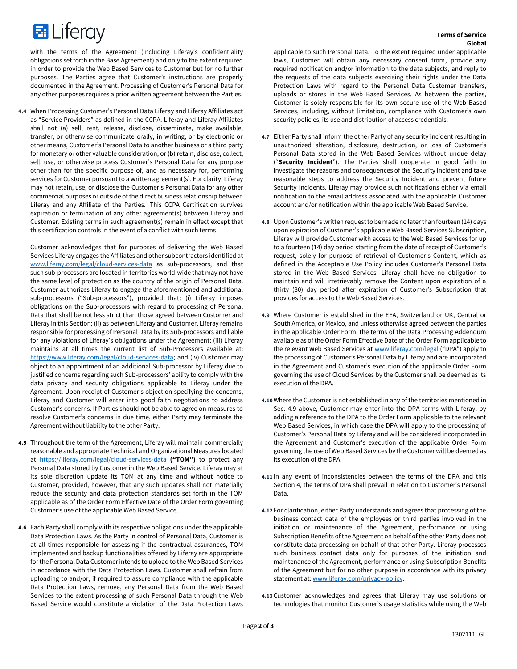

with the terms of the Agreement (including Liferay's confidentiality obligations set forth in the Base Agreement) and only to the extent required in order to provide the Web Based Services to Customer but for no further purposes. The Parties agree that Customer's instructions are properly documented in the Agreement. Processing of Customer's Personal Data for any other purposes requires a prior written agreement between the Parties.

**4.4** When Processing Customer's Personal Data Liferay and Liferay Affiliates act as "Service Providers" as defined in the CCPA. Liferay and Liferay Affiliates shall not (a) sell, rent, release, disclose, disseminate, make available, transfer, or otherwise communicate orally, in writing, or by electronic or other means, Customer's Personal Data to another business or a third party for monetary or other valuable consideration; or (b) retain, disclose, collect, sell, use, or otherwise process Customer's Personal Data for any purpose other than for the specific purpose of, and as necessary for, performing services for Customer pursuant to a written agreement(s). For clarity, Liferay may not retain, use, or disclose the Customer's Personal Data for any other commercial purposes or outside of the direct business relationship between Liferay and any Affiliate of the Parties. This CCPA Certification survives expiration or termination of any other agreement(s) between Liferay and Customer. Existing terms in such agreement(s) remain in effect except that this certification controls in the event of a conflict with such terms

Customer acknowledges that for purposes of delivering the Web Based Services Liferay engages the Affiliates and other subcontractors identified at www.liferay.com/legal[/cloud-services-data](https://www.liferay.com/de/legal/cloud-services-data) as sub-processors, and that such sub-processors are located in territories world-wide that may not have the same level of protection as the country of the origin of Personal Data. Customer authorizes Liferay to engage the aforementioned and additional sub-processors ("Sub-processors"), provided that: (i) Liferay imposes obligations on the Sub-processors with regard to processing of Personal Data that shall be not less strict than those agreed between Customer and Liferay in this Section; (ii) as between Liferay and Customer, Liferay remains responsible for processing of Personal Data by its Sub-processors and liable for any violations of Liferay's obligations under the Agreement; (iii) Liferay maintains at all times the current list of Sub-Processors available at: [https://www.liferay.com/legal/cloud-services-data;](https://www.liferay.com/legal/cloud-services-data) and (iv) Customer may object to an appointment of an additional Sub-processor by Liferay due to justified concerns regarding such Sub-processors' ability to comply with the data privacy and security obligations applicable to Liferay under the Agreement. Upon receipt of Customer's objection specifying the concerns, Liferay and Customer will enter into good faith negotiations to address Customer's concerns. If Parties should not be able to agree on measures to resolve Customer's concerns in due time, either Party may terminate the Agreement without liability to the other Party.

- **4.5** Throughout the term of the Agreement, Liferay will maintain commercially reasonable and appropriate Technical and Organizational Measures located at <https://liferay.com/legal/cloud-services-data> **("TOM")** to protect any Personal Data stored by Customer in the Web Based Service. Liferay may at its sole discretion update its TOM at any time and without notice to Customer, provided, however, that any such updates shall not materially reduce the security and data protection standards set forth in the TOM applicable as of the Order Form Effective Date of the Order Form governing Customer's use of the applicable Web Based Service.
- **4.6** Each Party shall comply with its respective obligations under the applicable Data Protection Laws. As the Party in control of Personal Data, Customer is at all times responsible for assessing if the contractual assurances, TOM implemented and backup functionalities offered by Liferay are appropriate for the Personal Data Customer intends to upload to the Web Based Services in accordance with the Data Protection Laws. Customer shall refrain from uploading to and/or, if required to assure compliance with the applicable Data Protection Laws, remove, any Personal Data from the Web Based Services to the extent processing of such Personal Data through the Web Based Service would constitute a violation of the Data Protection Laws

applicable to such Personal Data. To the extent required under applicable laws, Customer will obtain any necessary consent from, provide any required notification and/or information to the data subjects, and reply to the requests of the data subjects exercising their rights under the Data Protection Laws with regard to the Personal Data Customer transfers, uploads or stores in the Web Based Services. As between the parties, Customer is solely responsible for its own secure use of the Web Based Services, including, without limitation, compliance with Customer's own security policies, its use and distribution of access credentials.

- **4.7** Either Party shall inform the other Party of any security incident resulting in unauthorized alteration, disclosure, destruction, or loss of Customer's Personal Data stored in the Web Based Services without undue delay ("**Security Incident**"). The Parties shall cooperate in good faith to investigate the reasons and consequences of the Security Incident and take reasonable steps to address the Security Incident and prevent future Security Incidents. Liferay may provide such notifications either via email notification to the email address associated with the applicable Customer account and/or notification within the applicable Web Based Service.
- **4.8** Upon Customer's written request to be made no later than fourteen (14) days upon expiration of Customer's applicable Web Based Services Subscription, Liferay will provide Customer with access to the Web Based Services for up to a fourteen (14) day period starting from the date of receipt of Customer's request, solely for purpose of retrieval of Customer's Content, which as defined in the Acceptable Use Policy includes Customer's Personal Data stored in the Web Based Services. Liferay shall have no obligation to maintain and will irretrievably remove the Content upon expiration of a thirty (30) day period after expiration of Customer's Subscription that provides for access to the Web Based Services.
- **4.9** Where Customer is established in the EEA, Switzerland or UK, Central or South America, or Mexico, and unless otherwise agreed between the parties in the applicable Order Form, the terms of the Data Processing Addendum available as of the Order Form Effective Date of the Order Form applicable to the relevant Web Based Services at [www.liferay.com/legal](http://www.liferay.com/legal) ("DPA") apply to the processing of Customer's Personal Data by Liferay and are incorporated in the Agreement and Customer's execution of the applicable Order Form governing the use of Cloud Services by the Customer shall be deemed as its execution of the DPA.
- **4.10**Where the Customer is not established in any of the territories mentioned in Sec. 4.9 above, Customer may enter into the DPA terms with Liferay, by adding a reference to the DPA to the Order Form applicable to the relevant Web Based Services, in which case the DPA will apply to the processing of Customer's Personal Data by Liferay and will be considered incorporated in the Agreement and Customer's execution of the applicable Order Form governing the use of Web Based Services by the Customer will be deemed as its execution of the DPA.
- **4.11** In any event of inconsistencies between the terms of the DPA and this Section 4, the terms of DPA shall prevail in relation to Customer's Personal Data.
- **4.12** For clarification, either Party understands and agrees that processing of the business contact data of the employees or third parties involved in the initiation or maintenance of the Agreement, performance or using Subscription Benefits of the Agreement on behalf of the other Party does not constitute data processing on behalf of that other Party. Liferay processes such business contact data only for purposes of the initiation and maintenance of the Agreement, performance or using Subscription Benefits of the Agreement but for no other purpose in accordance with its privacy statement at[: www.liferay.com/privacy-policy.](http://www.liferay.com/privacy-policy)
- **4.13**Customer acknowledges and agrees that Liferay may use solutions or technologies that monitor Customer's usage statistics while using the Web